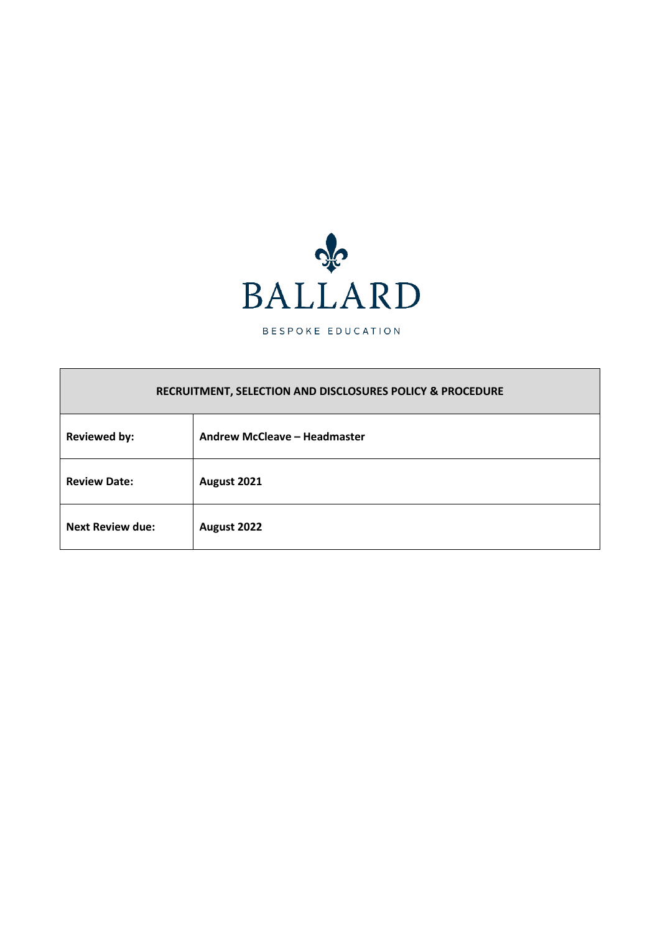

BESPOKE EDUCATION

# **RECRUITMENT, SELECTION AND DISCLOSURES POLICY & PROCEDURE**

| <b>Reviewed by:</b>     | Andrew McCleave - Headmaster |
|-------------------------|------------------------------|
| <b>Review Date:</b>     | August 2021                  |
| <b>Next Review due:</b> | August 2022                  |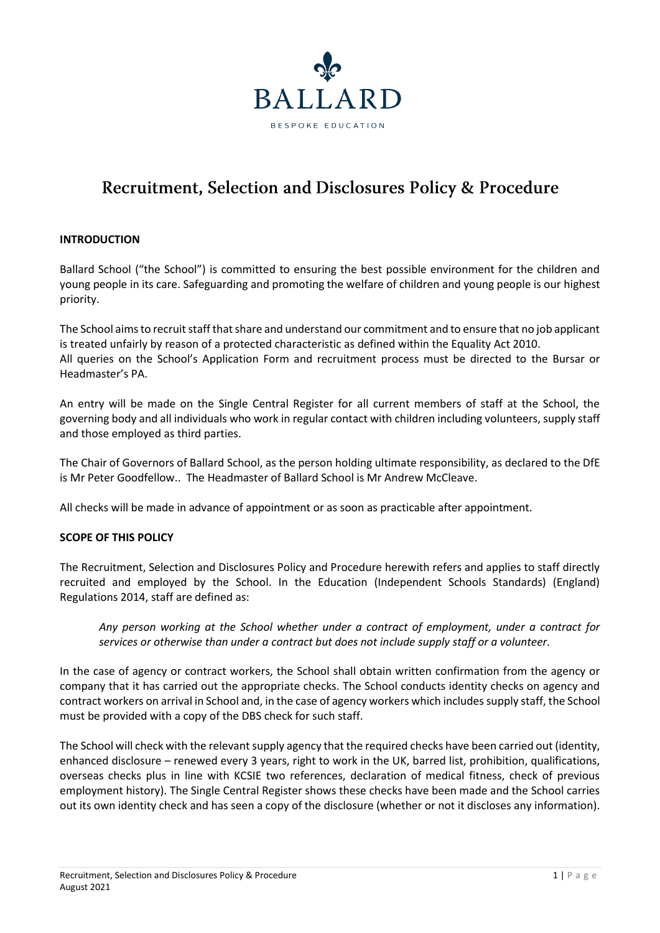

# Recruitment, Selection and Disclosures Policy & Procedure

# **INTRODUCTION**

Ballard School ("the School") is committed to ensuring the best possible environment for the children and young people in its care. Safeguarding and promoting the welfare of children and young people is our highest priority.

The School aims to recruit staff that share and understand our commitment and to ensure that no job applicant is treated unfairly by reason of a protected characteristic as defined within the Equality Act 2010. All queries on the School's Application Form and recruitment process must be directed to the Bursar or Headmaster's PA.

An entry will be made on the Single Central Register for all current members of staff at the School, the governing body and all individuals who work in regular contact with children including volunteers, supply staff and those employed as third parties.

The Chair of Governors of Ballard School, as the person holding ultimate responsibility, as declared to the DfE is Mr Peter Goodfellow.. The Headmaster of Ballard School is Mr Andrew McCleave.

All checks will be made in advance of appointment or as soon as practicable after appointment.

#### **SCOPE OF THIS POLICY**

The Recruitment, Selection and Disclosures Policy and Procedure herewith refers and applies to staff directly recruited and employed by the School. In the Education (Independent Schools Standards) (England) Regulations 2014, staff are defined as:

*Any person working at the School whether under a contract of employment, under a contract for services or otherwise than under a contract but does not include supply staff or a volunteer.*

In the case of agency or contract workers, the School shall obtain written confirmation from the agency or company that it has carried out the appropriate checks. The School conducts identity checks on agency and contract workers on arrival in School and, in the case of agency workers which includes supply staff, the School must be provided with a copy of the DBS check for such staff.

The School will check with the relevant supply agency that the required checks have been carried out (identity, enhanced disclosure – renewed every 3 years, right to work in the UK, barred list, prohibition, qualifications, overseas checks plus in line with KCSIE two references, declaration of medical fitness, check of previous employment history). The Single Central Register shows these checks have been made and the School carries out its own identity check and has seen a copy of the disclosure (whether or not it discloses any information).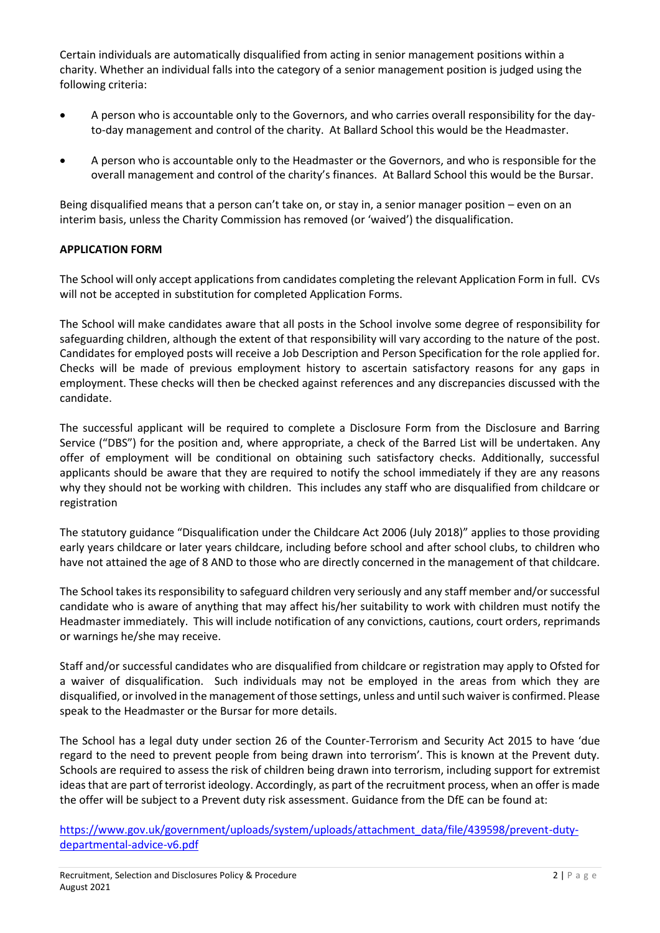Certain individuals are automatically disqualified from acting in senior management positions within a charity. Whether an individual falls into the category of a senior management position is judged using the following criteria:

- A person who is accountable only to the Governors, and who carries overall responsibility for the dayto-day management and control of the charity. At Ballard School this would be the Headmaster.
- A person who is accountable only to the Headmaster or the Governors, and who is responsible for the overall management and control of the charity's finances. At Ballard School this would be the Bursar.

Being disqualified means that a person can't take on, or stay in, a senior manager position – even on an interim basis, unless the Charity Commission has removed (or 'waived') the disqualification.

# **APPLICATION FORM**

The School will only accept applications from candidates completing the relevant Application Form in full. CVs will not be accepted in substitution for completed Application Forms.

The School will make candidates aware that all posts in the School involve some degree of responsibility for safeguarding children, although the extent of that responsibility will vary according to the nature of the post. Candidates for employed posts will receive a Job Description and Person Specification for the role applied for. Checks will be made of previous employment history to ascertain satisfactory reasons for any gaps in employment. These checks will then be checked against references and any discrepancies discussed with the candidate.

The successful applicant will be required to complete a Disclosure Form from the Disclosure and Barring Service ("DBS") for the position and, where appropriate, a check of the Barred List will be undertaken. Any offer of employment will be conditional on obtaining such satisfactory checks. Additionally, successful applicants should be aware that they are required to notify the school immediately if they are any reasons why they should not be working with children. This includes any staff who are disqualified from childcare or registration

The statutory guidance "Disqualification under the Childcare Act 2006 (July 2018)" applies to those providing early years childcare or later years childcare, including before school and after school clubs, to children who have not attained the age of 8 AND to those who are directly concerned in the management of that childcare.

The School takes its responsibility to safeguard children very seriously and any staff member and/or successful candidate who is aware of anything that may affect his/her suitability to work with children must notify the Headmaster immediately. This will include notification of any convictions, cautions, court orders, reprimands or warnings he/she may receive.

Staff and/or successful candidates who are disqualified from childcare or registration may apply to Ofsted for a waiver of disqualification. Such individuals may not be employed in the areas from which they are disqualified, or involved in the management of those settings, unless and until such waiver is confirmed. Please speak to the Headmaster or the Bursar for more details.

The School has a legal duty under section 26 of the Counter-Terrorism and Security Act 2015 to have 'due regard to the need to prevent people from being drawn into terrorism'. This is known at the Prevent duty. Schools are required to assess the risk of children being drawn into terrorism, including support for extremist ideas that are part of terrorist ideology. Accordingly, as part of the recruitment process, when an offer is made the offer will be subject to a Prevent duty risk assessment. Guidance from the DfE can be found at:

[https://www.gov.uk/government/uploads/system/uploads/attachment\\_data/file/439598/prevent-duty](https://www.gov.uk/government/uploads/system/uploads/attachment_data/file/439598/prevent-duty-departmental-advice-v6.pdf)[departmental-advice-v6.pdf](https://www.gov.uk/government/uploads/system/uploads/attachment_data/file/439598/prevent-duty-departmental-advice-v6.pdf)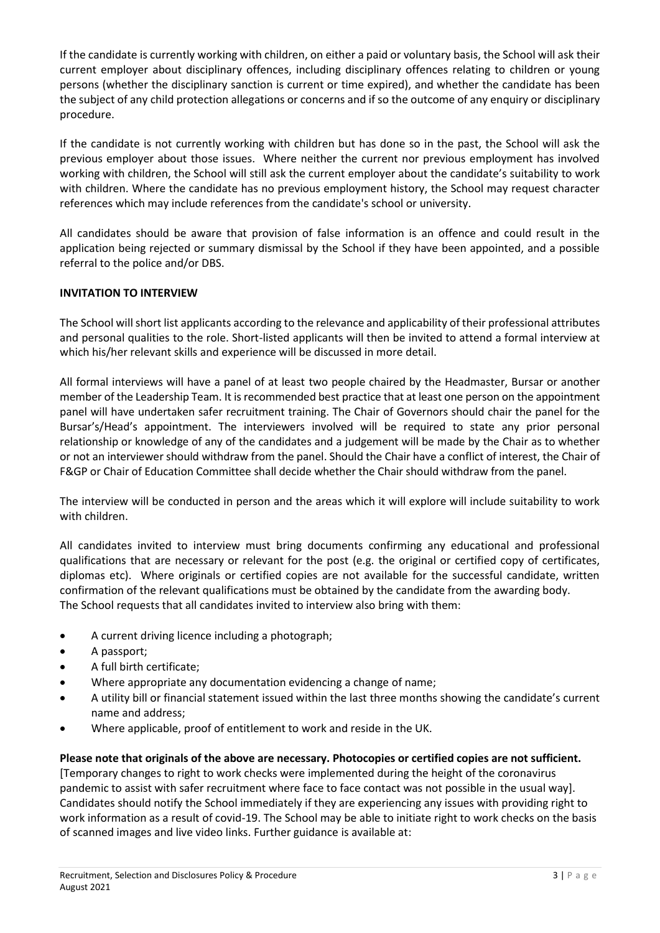If the candidate is currently working with children, on either a paid or voluntary basis, the School will ask their current employer about disciplinary offences, including disciplinary offences relating to children or young persons (whether the disciplinary sanction is current or time expired), and whether the candidate has been the subject of any child protection allegations or concerns and if so the outcome of any enquiry or disciplinary procedure.

If the candidate is not currently working with children but has done so in the past, the School will ask the previous employer about those issues. Where neither the current nor previous employment has involved working with children, the School will still ask the current employer about the candidate's suitability to work with children. Where the candidate has no previous employment history, the School may request character references which may include references from the candidate's school or university.

All candidates should be aware that provision of false information is an offence and could result in the application being rejected or summary dismissal by the School if they have been appointed, and a possible referral to the police and/or DBS.

# **INVITATION TO INTERVIEW**

The School will short list applicants according to the relevance and applicability of their professional attributes and personal qualities to the role. Short-listed applicants will then be invited to attend a formal interview at which his/her relevant skills and experience will be discussed in more detail.

All formal interviews will have a panel of at least two people chaired by the Headmaster, Bursar or another member of the Leadership Team. It is recommended best practice that at least one person on the appointment panel will have undertaken safer recruitment training. The Chair of Governors should chair the panel for the Bursar's/Head's appointment. The interviewers involved will be required to state any prior personal relationship or knowledge of any of the candidates and a judgement will be made by the Chair as to whether or not an interviewer should withdraw from the panel. Should the Chair have a conflict of interest, the Chair of F&GP or Chair of Education Committee shall decide whether the Chair should withdraw from the panel.

The interview will be conducted in person and the areas which it will explore will include suitability to work with children.

All candidates invited to interview must bring documents confirming any educational and professional qualifications that are necessary or relevant for the post (e.g. the original or certified copy of certificates, diplomas etc). Where originals or certified copies are not available for the successful candidate, written confirmation of the relevant qualifications must be obtained by the candidate from the awarding body. The School requests that all candidates invited to interview also bring with them:

- A current driving licence including a photograph;
- A passport;
- A full birth certificate;
- Where appropriate any documentation evidencing a change of name;
- A utility bill or financial statement issued within the last three months showing the candidate's current name and address;
- Where applicable, proof of entitlement to work and reside in the UK.

**Please note that originals of the above are necessary. Photocopies or certified copies are not sufficient.**  [Temporary changes to right to work checks were implemented during the height of the coronavirus pandemic to assist with safer recruitment where face to face contact was not possible in the usual way]. Candidates should notify the School immediately if they are experiencing any issues with providing right to work information as a result of covid-19. The School may be able to initiate right to work checks on the basis of scanned images and live video links. Further guidance is available at: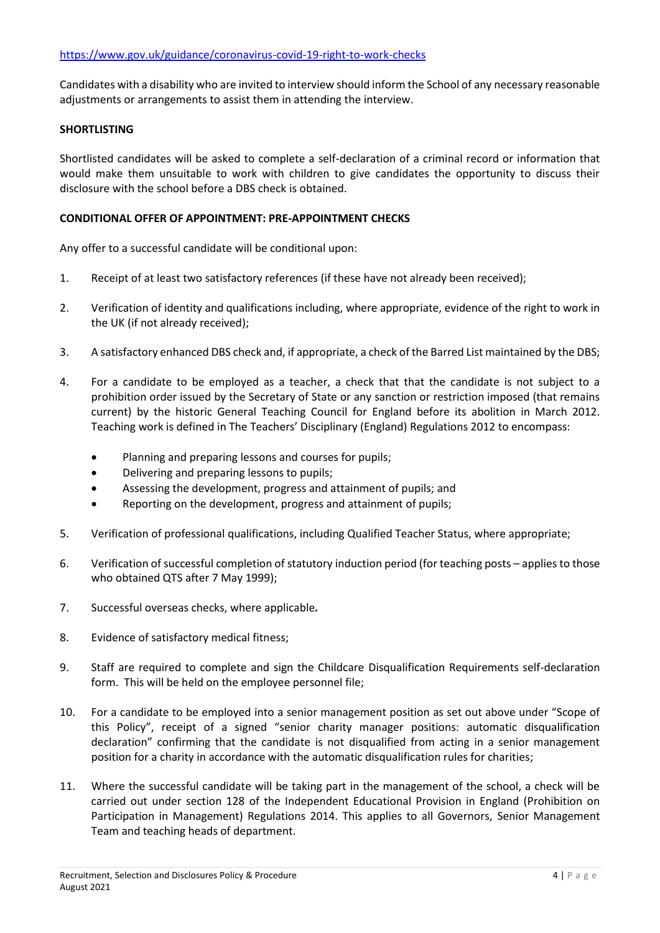Candidates with a disability who are invited to interview should inform the School of any necessary reasonable adjustments or arrangements to assist them in attending the interview.

## **SHORTLISTING**

Shortlisted candidates will be asked to complete a self-declaration of a criminal record or information that would make them unsuitable to work with children to give candidates the opportunity to discuss their disclosure with the school before a DBS check is obtained.

## **CONDITIONAL OFFER OF APPOINTMENT: PRE-APPOINTMENT CHECKS**

Any offer to a successful candidate will be conditional upon:

- 1. Receipt of at least two satisfactory references (if these have not already been received);
- 2. Verification of identity and qualifications including, where appropriate, evidence of the right to work in the UK (if not already received);
- 3. A satisfactory enhanced DBS check and, if appropriate, a check of the Barred List maintained by the DBS;
- 4. For a candidate to be employed as a teacher, a check that that the candidate is not subject to a prohibition order issued by the Secretary of State or any sanction or restriction imposed (that remains current) by the historic General Teaching Council for England before its abolition in March 2012. Teaching work is defined in The Teachers' Disciplinary (England) Regulations 2012 to encompass:
	- Planning and preparing lessons and courses for pupils;
	- Delivering and preparing lessons to pupils;
	- Assessing the development, progress and attainment of pupils; and
	- Reporting on the development, progress and attainment of pupils;
- 5. Verification of professional qualifications, including Qualified Teacher Status, where appropriate;
- 6. Verification of successful completion of statutory induction period (for teaching posts applies to those who obtained QTS after 7 May 1999);
- 7. Successful overseas checks, where applicable*.*
- 8. Evidence of satisfactory medical fitness;
- 9. Staff are required to complete and sign the Childcare Disqualification Requirements self-declaration form. This will be held on the employee personnel file;
- 10. For a candidate to be employed into a senior management position as set out above under "Scope of this Policy", receipt of a signed "senior charity manager positions: automatic disqualification declaration" confirming that the candidate is not disqualified from acting in a senior management position for a charity in accordance with the automatic disqualification rules for charities;
- 11. Where the successful candidate will be taking part in the management of the school, a check will be carried out under section 128 of the Independent Educational Provision in England (Prohibition on Participation in Management) Regulations 2014. This applies to all Governors, Senior Management Team and teaching heads of department.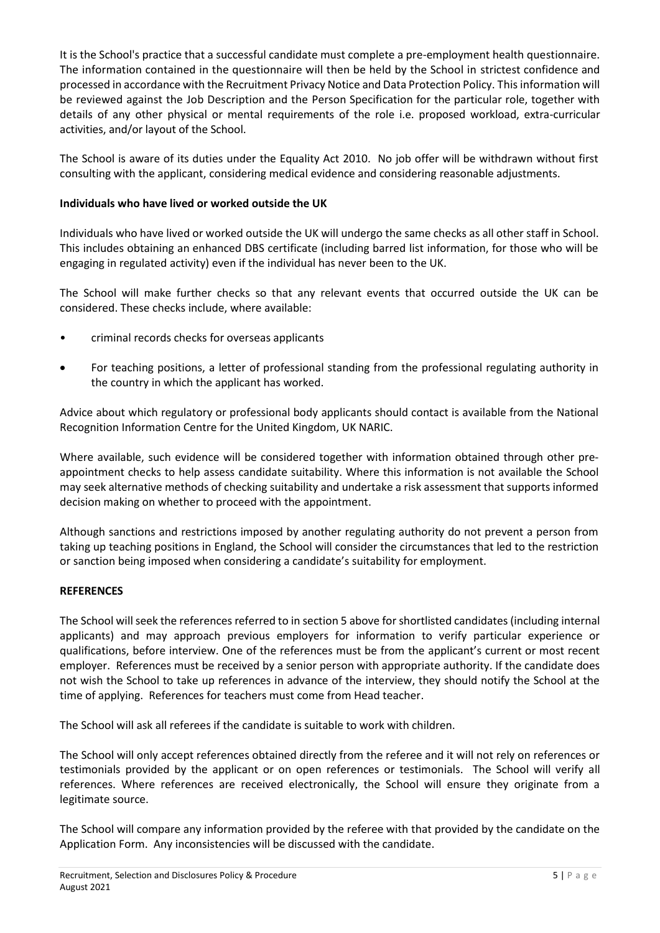It is the School's practice that a successful candidate must complete a pre-employment health questionnaire. The information contained in the questionnaire will then be held by the School in strictest confidence and processed in accordance with the Recruitment Privacy Notice and Data Protection Policy. This information will be reviewed against the Job Description and the Person Specification for the particular role, together with details of any other physical or mental requirements of the role i.e. proposed workload, extra-curricular activities, and/or layout of the School.

The School is aware of its duties under the Equality Act 2010. No job offer will be withdrawn without first consulting with the applicant, considering medical evidence and considering reasonable adjustments.

# **Individuals who have lived or worked outside the UK**

Individuals who have lived or worked outside the UK will undergo the same checks as all other staff in School. This includes obtaining an enhanced DBS certificate (including barred list information, for those who will be engaging in regulated activity) even if the individual has never been to the UK.

The School will make further checks so that any relevant events that occurred outside the UK can be considered. These checks include, where available:

- criminal records checks for overseas applicants
- For teaching positions, a letter of professional standing from the professional regulating authority in the country in which the applicant has worked.

Advice about which regulatory or professional body applicants should contact is available from the National Recognition Information Centre for the United Kingdom, UK NARIC.

Where available, such evidence will be considered together with information obtained through other preappointment checks to help assess candidate suitability. Where this information is not available the School may seek alternative methods of checking suitability and undertake a risk assessment that supports informed decision making on whether to proceed with the appointment.

Although sanctions and restrictions imposed by another regulating authority do not prevent a person from taking up teaching positions in England, the School will consider the circumstances that led to the restriction or sanction being imposed when considering a candidate's suitability for employment.

# **REFERENCES**

The School will seek the references referred to in section 5 above for shortlisted candidates (including internal applicants) and may approach previous employers for information to verify particular experience or qualifications, before interview. One of the references must be from the applicant's current or most recent employer. References must be received by a senior person with appropriate authority. If the candidate does not wish the School to take up references in advance of the interview, they should notify the School at the time of applying. References for teachers must come from Head teacher.

The School will ask all referees if the candidate is suitable to work with children.

The School will only accept references obtained directly from the referee and it will not rely on references or testimonials provided by the applicant or on open references or testimonials. The School will verify all references. Where references are received electronically, the School will ensure they originate from a legitimate source.

The School will compare any information provided by the referee with that provided by the candidate on the Application Form. Any inconsistencies will be discussed with the candidate.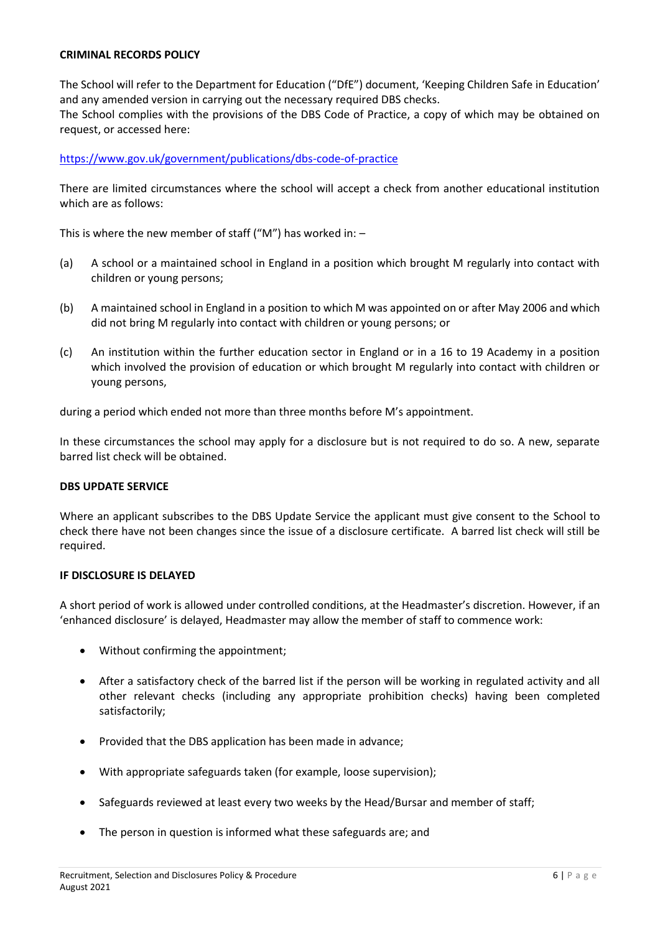## **CRIMINAL RECORDS POLICY**

The School will refer to the Department for Education ("DfE") document, 'Keeping Children Safe in Education' and any amended version in carrying out the necessary required DBS checks. The School complies with the provisions of the DBS Code of Practice, a copy of which may be obtained on request, or accessed here:

# <https://www.gov.uk/government/publications/dbs-code-of-practice>

There are limited circumstances where the school will accept a check from another educational institution which are as follows:

This is where the new member of staff ("M") has worked in:  $-$ 

- (a) A school or a maintained school in England in a position which brought M regularly into contact with children or young persons;
- (b) A maintained school in England in a position to which M was appointed on or after May 2006 and which did not bring M regularly into contact with children or young persons; or
- (c) An institution within the further education sector in England or in a 16 to 19 Academy in a position which involved the provision of education or which brought M regularly into contact with children or young persons,

during a period which ended not more than three months before M's appointment.

In these circumstances the school may apply for a disclosure but is not required to do so. A new, separate barred list check will be obtained.

#### **DBS UPDATE SERVICE**

Where an applicant subscribes to the DBS Update Service the applicant must give consent to the School to check there have not been changes since the issue of a disclosure certificate. A barred list check will still be required.

#### **IF DISCLOSURE IS DELAYED**

A short period of work is allowed under controlled conditions, at the Headmaster's discretion. However, if an 'enhanced disclosure' is delayed, Headmaster may allow the member of staff to commence work:

- Without confirming the appointment;
- After a satisfactory check of the barred list if the person will be working in regulated activity and all other relevant checks (including any appropriate prohibition checks) having been completed satisfactorily;
- Provided that the DBS application has been made in advance;
- With appropriate safeguards taken (for example, loose supervision);
- Safeguards reviewed at least every two weeks by the Head/Bursar and member of staff;
- The person in question is informed what these safeguards are; and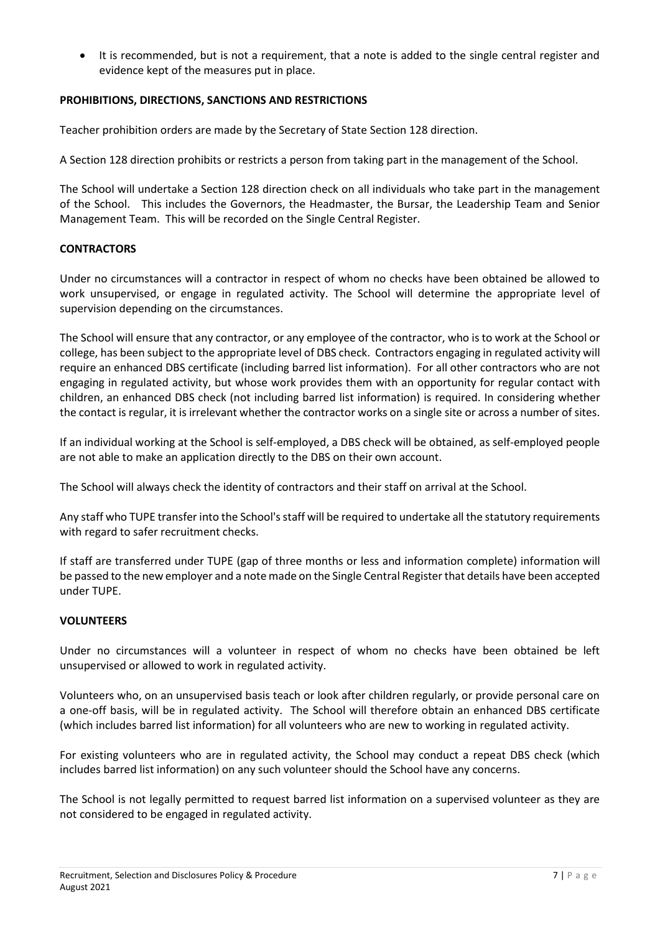• It is recommended, but is not a requirement, that a note is added to the single central register and evidence kept of the measures put in place.

# **PROHIBITIONS, DIRECTIONS, SANCTIONS AND RESTRICTIONS**

Teacher prohibition orders are made by the Secretary of State Section 128 direction.

A Section 128 direction prohibits or restricts a person from taking part in the management of the School.

The School will undertake a Section 128 direction check on all individuals who take part in the management of the School. This includes the Governors, the Headmaster, the Bursar, the Leadership Team and Senior Management Team. This will be recorded on the Single Central Register.

# **CONTRACTORS**

Under no circumstances will a contractor in respect of whom no checks have been obtained be allowed to work unsupervised, or engage in regulated activity. The School will determine the appropriate level of supervision depending on the circumstances.

The School will ensure that any contractor, or any employee of the contractor, who is to work at the School or college, has been subject to the appropriate level of DBS check. Contractors engaging in regulated activity will require an enhanced DBS certificate (including barred list information). For all other contractors who are not engaging in regulated activity, but whose work provides them with an opportunity for regular contact with children, an enhanced DBS check (not including barred list information) is required. In considering whether the contact is regular, it is irrelevant whether the contractor works on a single site or across a number of sites.

If an individual working at the School is self-employed, a DBS check will be obtained, as self-employed people are not able to make an application directly to the DBS on their own account.

The School will always check the identity of contractors and their staff on arrival at the School.

Any staff who TUPE transfer into the School's staff will be required to undertake all the statutory requirements with regard to safer recruitment checks.

If staff are transferred under TUPE (gap of three months or less and information complete) information will be passed to the new employer and a note made on the Single Central Register that details have been accepted under TUPE.

#### **VOLUNTEERS**

Under no circumstances will a volunteer in respect of whom no checks have been obtained be left unsupervised or allowed to work in regulated activity.

Volunteers who, on an unsupervised basis teach or look after children regularly, or provide personal care on a one-off basis, will be in regulated activity. The School will therefore obtain an enhanced DBS certificate (which includes barred list information) for all volunteers who are new to working in regulated activity.

For existing volunteers who are in regulated activity, the School may conduct a repeat DBS check (which includes barred list information) on any such volunteer should the School have any concerns.

The School is not legally permitted to request barred list information on a supervised volunteer as they are not considered to be engaged in regulated activity.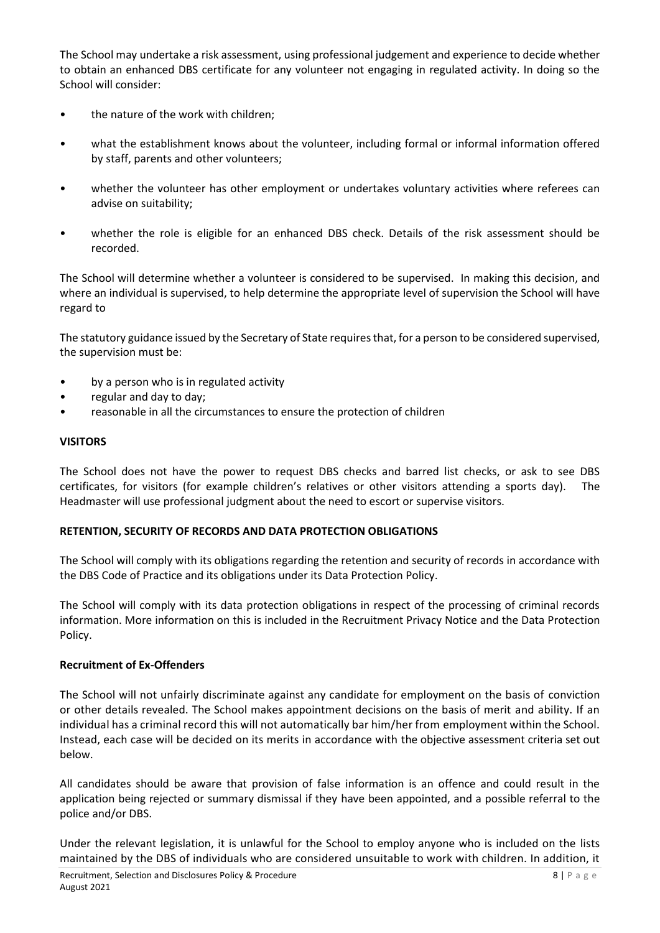The School may undertake a risk assessment, using professional judgement and experience to decide whether to obtain an enhanced DBS certificate for any volunteer not engaging in regulated activity. In doing so the School will consider:

- the nature of the work with children;
- what the establishment knows about the volunteer, including formal or informal information offered by staff, parents and other volunteers;
- whether the volunteer has other employment or undertakes voluntary activities where referees can advise on suitability;
- whether the role is eligible for an enhanced DBS check. Details of the risk assessment should be recorded.

The School will determine whether a volunteer is considered to be supervised. In making this decision, and where an individual is supervised, to help determine the appropriate level of supervision the School will have regard to

The statutory guidance issued by the Secretary of State requires that, for a person to be considered supervised, the supervision must be:

- by a person who is in regulated activity
- regular and day to day;
- reasonable in all the circumstances to ensure the protection of children

#### **VISITORS**

The School does not have the power to request DBS checks and barred list checks, or ask to see DBS certificates, for visitors (for example children's relatives or other visitors attending a sports day). The Headmaster will use professional judgment about the need to escort or supervise visitors.

#### **RETENTION, SECURITY OF RECORDS AND DATA PROTECTION OBLIGATIONS**

The School will comply with its obligations regarding the retention and security of records in accordance with the DBS Code of Practice and its obligations under its Data Protection Policy.

The School will comply with its data protection obligations in respect of the processing of criminal records information. More information on this is included in the Recruitment Privacy Notice and the Data Protection Policy.

#### **Recruitment of Ex-Offenders**

The School will not unfairly discriminate against any candidate for employment on the basis of conviction or other details revealed. The School makes appointment decisions on the basis of merit and ability. If an individual has a criminal record this will not automatically bar him/her from employment within the School. Instead, each case will be decided on its merits in accordance with the objective assessment criteria set out below.

All candidates should be aware that provision of false information is an offence and could result in the application being rejected or summary dismissal if they have been appointed, and a possible referral to the police and/or DBS.

Under the relevant legislation, it is unlawful for the School to employ anyone who is included on the lists maintained by the DBS of individuals who are considered unsuitable to work with children. In addition, it